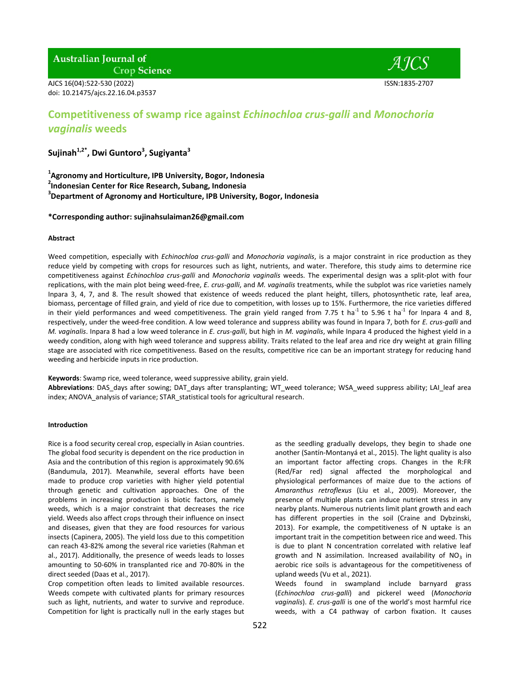AJCS 16(04):522-530 (2022) ISSN:1835-2707 doi: 10.21475/ajcs.22.16.04.p3537

- *A ICS* 

# **Competitiveness of swamp rice against** *Echinochloa crus-galli* **and** *Monochoria vaginalis* **weeds**

**Sujinah1,2\*, Dwi Guntoro<sup>3</sup> , Sugiyanta<sup>3</sup>**

**1 Agronomy and Horticulture, IPB University, Bogor, Indonesia**

**2 Indonesian Center for Rice Research, Subang, Indonesia**

**3 Department of Agronomy and Horticulture, IPB University, Bogor, Indonesia**

**\*Corresponding author: sujinahsulaiman26@gmail.com**

# **Abstract**

Weed competition, especially with *Echinochloa crus-galli* and *Monochoria vaginalis*, is a major constraint in rice production as they reduce yield by competing with crops for resources such as light, nutrients, and water. Therefore, this study aims to determine rice competitiveness against *Echinochloa crus-galli* and *Monochoria vaginalis* weeds. The experimental design was a split-plot with four replications, with the main plot being weed-free, *E. crus-galli*, and *M. vaginalis* treatments, while the subplot was rice varieties namely Inpara 3, 4, 7, and 8. The result showed that existence of weeds reduced the plant height, tillers, photosynthetic rate, leaf area, biomass, percentage of filled grain, and yield of rice due to competition, with losses up to 15%. Furthermore, the rice varieties differed in their yield performances and weed competitiveness. The grain yield ranged from 7.75 t ha<sup>-1</sup> to 5.96 t ha<sup>-1</sup> for Inpara 4 and 8, respectively, under the weed-free condition. A low weed tolerance and suppress ability was found in Inpara 7, both for *E. crus-galli* and *M. vaginalis*. Inpara 8 had a low weed tolerance in *E. crus-galli*, but high in *M. vaginalis*, while Inpara 4 produced the highest yield in a weedy condition, along with high weed tolerance and suppress ability. Traits related to the leaf area and rice dry weight at grain filling stage are associated with rice competitiveness. Based on the results, competitive rice can be an important strategy for reducing hand weeding and herbicide inputs in rice production.

**Keywords**: Swamp rice, weed tolerance, weed suppressive ability, grain yield.

**Abbreviations**: DAS\_days after sowing; DAT\_days after transplanting; WT\_weed tolerance; WSA\_weed suppress ability; LAI\_leaf area index; ANOVA analysis of variance; STAR statistical tools for agricultural research.

# **Introduction**

Rice is a food security cereal crop, especially in Asian countries. The global food security is dependent on the rice production in Asia and the contribution of this region is approximately 90.6% (Bandumula, 2017). Meanwhile, several efforts have been made to produce crop varieties with higher yield potential through genetic and cultivation approaches. One of the problems in increasing production is biotic factors, namely weeds, which is a major constraint that decreases the rice yield. Weeds also affect crops through their influence on insect and diseases, given that they are food resources for various insects (Capinera, 2005). The yield loss due to this competition can reach 43-82% among the several rice varieties (Rahman et al., 2017). Additionally, the presence of weeds leads to losses amounting to 50-60% in transplanted rice and 70-80% in the direct seeded (Daas et al., 2017).

Crop competition often leads to limited available resources. Weeds compete with cultivated plants for primary resources such as light, nutrients, and water to survive and reproduce. Competition for light is practically null in the early stages but

as the seedling gradually develops, they begin to shade one another (Santín-Montanyá et al., 2015). The light quality is also an important factor affecting crops. Changes in the R:FR (Red/Far red) signal affected the morphological and physiological performances of maize due to the actions of *Amaranthus retroflexus* (Liu et al., 2009). Moreover, the presence of multiple plants can induce nutrient stress in any nearby plants. Numerous nutrients limit plant growth and each has different properties in the soil (Craine and Dybzinski, 2013). For example, the competitiveness of N uptake is an important trait in the competition between rice and weed. This is due to plant N concentration correlated with relative leaf growth and N assimilation. Increased availability of  $NO<sub>3</sub>$  in aerobic rice soils is advantageous for the competitiveness of upland weeds (Vu et al., 2021).

Weeds found in swampland include barnyard grass (*Echinochloa crus-galli*) and pickerel weed (*Monochoria vaginalis*). *E. crus-galli* is one of the world's most harmful rice weeds, with a C4 pathway of carbon fixation. It causes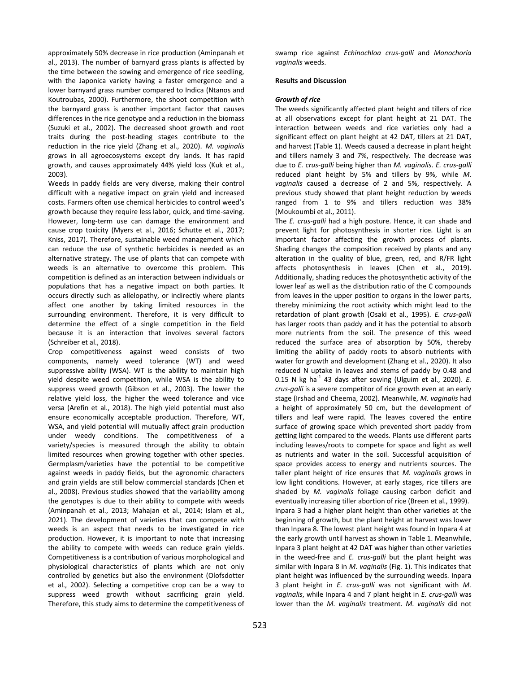approximately 50% decrease in rice production (Aminpanah et al., 2013). The number of barnyard grass plants is affected by the time between the sowing and emergence of rice seedling, with the Japonica variety having a faster emergence and a lower barnyard grass number compared to Indica (Ntanos and Koutroubas, 2000). Furthermore, the shoot competition with the barnyard grass is another important factor that causes differences in the rice genotype and a reduction in the biomass (Suzuki et al., 2002). The decreased shoot growth and root traits during the post-heading stages contribute to the reduction in the rice yield (Zhang et al., 2020). *M. vaginalis* grows in all agroecosystems except dry lands. It has rapid growth, and causes approximately 44% yield loss (Kuk et al., 2003).

Weeds in paddy fields are very diverse, making their control difficult with a negative impact on grain yield and increased costs. Farmers often use chemical herbicides to control weed's growth because they require less labor, quick, and time-saving. However, long-term use can damage the environment and cause crop toxicity (Myers et al., 2016; Schutte et al., 2017; Kniss, 2017). Therefore, sustainable weed management which can reduce the use of synthetic herbicides is needed as an alternative strategy. The use of plants that can compete with weeds is an alternative to overcome this problem. This competition is defined as an interaction between individuals or populations that has a negative impact on both parties. It occurs directly such as allelopathy, or indirectly where plants affect one another by taking limited resources in the surrounding environment. Therefore, it is very difficult to determine the effect of a single competition in the field because it is an interaction that involves several factors (Schreiber et al., 2018).

Crop competitiveness against weed consists of two components, namely weed tolerance (WT) and weed suppressive ability (WSA). WT is the ability to maintain high yield despite weed competition, while WSA is the ability to suppress weed growth (Gibson et al., 2003). The lower the relative yield loss, the higher the weed tolerance and vice versa (Arefin et al., 2018). The high yield potential must also ensure economically acceptable production. Therefore, WT, WSA, and yield potential will mutually affect grain production under weedy conditions. The competitiveness of a variety/species is measured through the ability to obtain limited resources when growing together with other species. Germplasm/varieties have the potential to be competitive against weeds in paddy fields, but the agronomic characters and grain yields are still below commercial standards (Chen et al., 2008). Previous studies showed that the variability among the genotypes is due to their ability to compete with weeds (Aminpanah et al., 2013; Mahajan et al., 2014; Islam et al., 2021). The development of varieties that can compete with weeds is an aspect that needs to be investigated in rice production. However, it is important to note that increasing the ability to compete with weeds can reduce grain yields. Competitiveness is a contribution of various morphological and physiological characteristics of plants which are not only controlled by genetics but also the environment (Olofsdotter et al., 2002). Selecting a competitive crop can be a way to suppress weed growth without sacrificing grain yield. Therefore, this study aims to determine the competitiveness of swamp rice against *Echinochloa crus-galli* and *Monochoria vaginalis* weeds.

## **Results and Discussion**

#### *Growth of rice*

The weeds significantly affected plant height and tillers of rice at all observations except for plant height at 21 DAT. The interaction between weeds and rice varieties only had a significant effect on plant height at 42 DAT, tillers at 21 DAT, and harvest (Table 1). Weeds caused a decrease in plant height and tillers namely 3 and 7%, respectively. The decrease was due to *E. crus-galli* being higher than *M. vaginalis*. *E. crus-galli* reduced plant height by 5% and tillers by 9%, while *M. vaginalis* caused a decrease of 2 and 5%, respectively. A previous study showed that plant height reduction by weeds ranged from 1 to 9% and tillers reduction was 38% (Moukoumbi et al., 2011).

The *E. crus-galli* had a high posture. Hence, it can shade and prevent light for photosynthesis in shorter rice. Light is an important factor affecting the growth process of plants. Shading changes the composition received by plants and any alteration in the quality of blue, green, red, and R/FR light affects photosynthesis in leaves (Chen et al., 2019). Additionally, shading reduces the photosynthetic activity of the lower leaf as well as the distribution ratio of the C compounds from leaves in the upper position to organs in the lower parts, thereby minimizing the root activity which might lead to the retardation of plant growth (Osaki et al., 1995). *E. crus-galli* has larger roots than paddy and it has the potential to absorb more nutrients from the soil. The presence of this weed reduced the surface area of absorption by 50%, thereby limiting the ability of paddy roots to absorb nutrients with water for growth and development (Zhang et al., 2020). It also reduced N uptake in leaves and stems of paddy by 0.48 and 0.15 N kg ha<sup>-1</sup> 43 days after sowing (Ulguim et al., 2020). E. *crus-galli* is a severe competitor of rice growth even at an early stage (Irshad and Cheema, 2002). Meanwhile, *M. vaginalis* had a height of approximately 50 cm, but the development of tillers and leaf were rapid. The leaves covered the entire surface of growing space which prevented short paddy from getting light compared to the weeds. Plants use different parts including leaves/roots to compete for space and light as well as nutrients and water in the soil. Successful acquisition of space provides access to energy and nutrients sources. The taller plant height of rice ensures that *M. vaginalis* grows in low light conditions. However, at early stages, rice tillers are shaded by *M. vaginalis* foliage causing carbon deficit and eventually increasing tiller abortion of rice (Breen et al., 1999). Inpara 3 had a higher plant height than other varieties at the beginning of growth, but the plant height at harvest was lower than Inpara 8. The lowest plant height was found in Inpara 4 at the early growth until harvest as shown in Table 1. Meanwhile, Inpara 3 plant height at 42 DAT was higher than other varieties in the weed-free and *E. crus-galli* but the plant height was similar with Inpara 8 in *M. vaginalis* (Fig. 1). This indicates that plant height was influenced by the surrounding weeds. Inpara 3 plant height in *E. crus-galli* was not significant with *M. vaginalis*, while Inpara 4 and 7 plant height in *E. crus-galli* was lower than the *M. vaginalis* treatment. *M. vaginalis* did not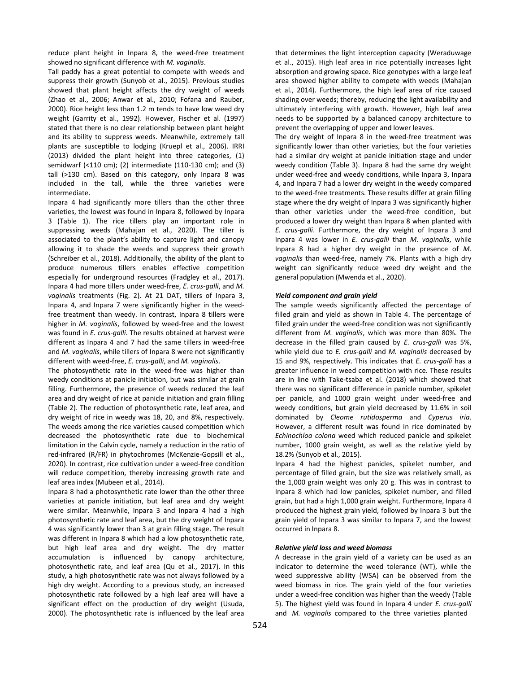reduce plant height in Inpara 8, the weed-free treatment showed no significant difference with *M. vaginalis*.

Tall paddy has a great potential to compete with weeds and suppress their growth (Sunyob et al., 2015). Previous studies showed that plant height affects the dry weight of weeds (Zhao et al., 2006; Anwar et al., 2010; Fofana and Rauber, 2000). Rice height less than 1.2 m tends to have low weed dry weight (Garrity et al., 1992). However, Fischer et al. (1997) stated that there is no clear relationship between plant height and its ability to suppress weeds. Meanwhile, extremely tall plants are susceptible to lodging (Kruepl et al., 2006). IRRI (2013) divided the plant height into three categories, (1) semidwarf (<110 cm); (2) intermediate (110-130 cm); and (3) tall (>130 cm). Based on this category, only Inpara 8 was included in the tall, while the three varieties were intermediate.

Inpara 4 had significantly more tillers than the other three varieties, the lowest was found in Inpara 8, followed by Inpara 3 (Table 1). The rice tillers play an important role in suppressing weeds (Mahajan et al., 2020). The tiller is associated to the plant's ability to capture light and canopy allowing it to shade the weeds and suppress their growth (Schreiber et al., 2018). Additionally, the ability of the plant to produce numerous tillers enables effective competition especially for underground resources (Fradgley et al., 2017). Inpara 4 had more tillers under weed-free, *E. crus-galli*, and *M. vaginalis* treatments (Fig. 2). At 21 DAT, tillers of Inpara 3, Inpara 4, and Inpara 7 were significantly higher in the weedfree treatment than weedy. In contrast, Inpara 8 tillers were higher in *M. vaginalis*, followed by weed-free and the lowest was found in *E. crus-galli*. The results obtained at harvest were different as Inpara 4 and 7 had the same tillers in weed-free and *M. vaginalis*, while tillers of Inpara 8 were not significantly different with weed-free, *E. crus-galli*, and *M. vaginalis*.

The photosynthetic rate in the weed-free was higher than weedy conditions at panicle initiation, but was similar at grain filling. Furthermore, the presence of weeds reduced the leaf area and dry weight of rice at panicle initiation and grain filling (Table 2). The reduction of photosynthetic rate, leaf area, and dry weight of rice in weedy was 18, 20, and 8%, respectively. The weeds among the rice varieties caused competition which decreased the photosynthetic rate due to biochemical limitation in the Calvin cycle, namely a reduction in the ratio of red-infrared (R/FR) in phytochromes (McKenzie-Gopsill et al., 2020). In contrast, rice cultivation under a weed-free condition will reduce competition, thereby increasing growth rate and leaf area index (Mubeen et al., 2014).

Inpara 8 had a photosynthetic rate lower than the other three varieties at panicle initiation, but leaf area and dry weight were similar. Meanwhile, Inpara 3 and Inpara 4 had a high photosynthetic rate and leaf area, but the dry weight of Inpara 4 was significantly lower than 3 at grain filling stage. The result was different in Inpara 8 which had a low photosynthetic rate, but high leaf area and dry weight. The dry matter accumulation is influenced by canopy architecture, photosynthetic rate, and leaf area (Qu et al., 2017). In this study, a high photosynthetic rate was not always followed by a high dry weight. According to a previous study, an increased photosynthetic rate followed by a high leaf area will have a significant effect on the production of dry weight (Usuda, 2000). The photosynthetic rate is influenced by the leaf area that determines the light interception capacity (Weraduwage et al., 2015). High leaf area in rice potentially increases light absorption and growing space. Rice genotypes with a large leaf area showed higher ability to compete with weeds (Mahajan et al., 2014). Furthermore, the high leaf area of rice caused shading over weeds; thereby, reducing the light availability and ultimately interfering with growth. However, high leaf area needs to be supported by a balanced canopy architecture to prevent the overlapping of upper and lower leaves.

The dry weight of Inpara 8 in the weed-free treatment was significantly lower than other varieties, but the four varieties had a similar dry weight at panicle initiation stage and under weedy condition (Table 3). Inpara 8 had the same dry weight under weed-free and weedy conditions, while Inpara 3, Inpara 4, and Inpara 7 had a lower dry weight in the weedy compared to the weed-free treatments. These results differ at grain filling stage where the dry weight of Inpara 3 was significantly higher than other varieties under the weed-free condition, but produced a lower dry weight than Inpara 8 when planted with *E. crus-galli*. Furthermore, the dry weight of Inpara 3 and Inpara 4 was lower in *E. crus-galli* than *M. vaginalis*, while Inpara 8 had a higher dry weight in the presence of *M. vaginalis* than weed-free, namely 7%. Plants with a high dry weight can significantly reduce weed dry weight and the general population (Mwenda et al., 2020).

## *Yield component and grain yield*

The sample weeds significantly affected the percentage of filled grain and yield as shown in Table 4. The percentage of filled grain under the weed-free condition was not significantly different from *M. vaginalis*, which was more than 80%. The decrease in the filled grain caused by *E. crus-galli* was 5%, while yield due to *E. crus-galli* and *M. vaginalis* decreased by 15 and 9%, respectively. This indicates that *E. crus-galli* has a greater influence in weed competition with rice. These results are in line with Take-tsaba et al. (2018) which showed that there was no significant difference in panicle number, spikelet per panicle, and 1000 grain weight under weed-free and weedy conditions, but grain yield decreased by 11.6% in soil dominated by *Cleome rutidosperma* and *Cyperus iria*. However, a different result was found in rice dominated by *Echinochloa colona* weed which reduced panicle and spikelet number, 1000 grain weight, as well as the relative yield by 18.2% (Sunyob et al., 2015).

Inpara 4 had the highest panicles, spikelet number, and percentage of filled grain, but the size was relatively small, as the 1,000 grain weight was only 20 g. This was in contrast to Inpara 8 which had low panicles, spikelet number, and filled grain, but had a high 1,000 grain weight. Furthermore, Inpara 4 produced the highest grain yield, followed by Inpara 3 but the grain yield of Inpara 3 was similar to Inpara 7, and the lowest occurred in Inpara 8.

## *Relative yield loss and weed biomass*

A decrease in the grain yield of a variety can be used as an indicator to determine the weed tolerance (WT), while the weed suppressive ability (WSA) can be observed from the weed biomass in rice. The grain yield of the four varieties under a weed-free condition was higher than the weedy (Table 5). The highest yield was found in Inpara 4 under *E. crus-galli* and *M. vaginalis* compared to the three varieties planted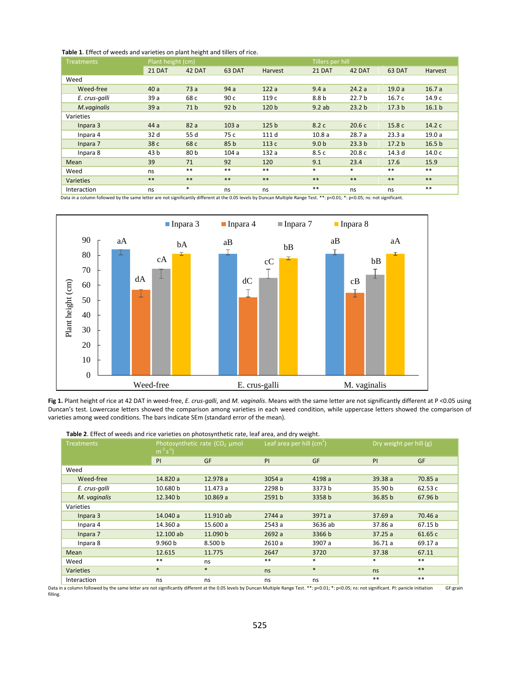| <b>Treatments</b> | Plant height (cm) |                 |                 |                  |                  | Tillers per hill  |                   |                   |  |
|-------------------|-------------------|-----------------|-----------------|------------------|------------------|-------------------|-------------------|-------------------|--|
|                   | 21 DAT            | 42 DAT          | 63 DAT          | Harvest          | 21 DAT           | 42 DAT            | 63 DAT            | <b>Harvest</b>    |  |
| Weed              |                   |                 |                 |                  |                  |                   |                   |                   |  |
| Weed-free         | 40a               | 73a             | 94a             | 122a             | 9.4a             | 24.2a             | 19.0a             | 16.7a             |  |
| E. crus-galli     | 39a               | 68 c            | 90 <sub>c</sub> | 119 с            | 8.8 <sub>b</sub> | 22.7 <sub>b</sub> | 16.7c             | 14.9 с            |  |
| M.vaginalis       | 39a               | 71 <sub>b</sub> | 92 <sub>b</sub> | 120 b            | 9.2ab            | 23.2 <sub>b</sub> | 17.3 <sub>b</sub> | 16.1 <sub>b</sub> |  |
| Varieties         |                   |                 |                 |                  |                  |                   |                   |                   |  |
| Inpara 3          | 44a               | 82a             | 103a            | 125 <sub>b</sub> | 8.2c             | 20.6c             | 15.8 c            | 14.2 c            |  |
| Inpara 4          | 32 d              | 55 d            | 75 c            | 111 d            | 10.8a            | 28.7a             | 23.3a             | 19.0a             |  |
| Inpara 7          | 38 c              | 68 c            | 85 <sub>b</sub> | 113 c            | 9.0 <sub>b</sub> | 23.3 <sub>b</sub> | 17.2 <sub>b</sub> | 16.5 <sub>b</sub> |  |
| Inpara 8          | 43 b              | 80 b            | 104a            | 132a             | 8.5c             | 20.8 <sub>c</sub> | 14.3 d            | 14.0 c            |  |
| Mean              | 39                | 71              | 92              | 120              | 9.1              | 23.4              | 17.6              | 15.9              |  |
| Weed              | ns                | $**$            | $* *$           | $***$            | $*$              | $\ast$            | $***$             | $***$             |  |
| Varieties         | $***$             | $**$            | $***$           | $***$            | $***$            | $***$             | $***$             | $***$             |  |
| Interaction       | ns                | $\ast$          | ns              | ns               | $***$            | ns                | ns                | $***$             |  |

Data in a column followed by the same letter are not significantly different at the 0.05 levels by Duncan Multiple Range Test. \*\*: p<0.01; \*: p<0.05; ns: not significant.



**Fig 1.** Plant height of rice at 42 DAT in weed-free, *E. crus-galli*, and *M. vaginalis*. Means with the same letter are not significantly different at P <0.05 using Duncan's test. Lowercase letters showed the comparison among varieties in each weed condition, while uppercase letters showed the comparison of varieties among weed conditions. The bars indicate SEm (standard error of the mean).

|                   |                    | <b>Table 2</b> . Effect of weeds and rice varieties on photosynthetic rate, leaf area, and dry weight. |        |                            |         |                         |  |
|-------------------|--------------------|--------------------------------------------------------------------------------------------------------|--------|----------------------------|---------|-------------------------|--|
| <b>Treatments</b> | $m^{-2} s^{-1}$    | Photosynthetic rate $(CO2)$ µmol                                                                       |        | Leaf area per hill $(cm2)$ |         | Dry weight per hill (g) |  |
|                   | PI                 | <b>GF</b>                                                                                              | PI     | <b>GF</b>                  | PI      | <b>GF</b>               |  |
| Weed              |                    |                                                                                                        |        |                            |         |                         |  |
| Weed-free         | 14.820 a           | 12.978 a                                                                                               | 3054a  | 4198 a                     | 39.38a  | 70.85 a                 |  |
| E. crus-galli     | 10.680 b           | 11.473 a                                                                                               | 2298 b | 3373 b                     | 35.90 b | 62.53c                  |  |
| M. vaginalis      | 12.340 b           | 10.869a                                                                                                | 2591b  | 3358 b                     | 36.85 b | 67.96 b                 |  |
| Varieties         |                    |                                                                                                        |        |                            |         |                         |  |
| Inpara 3          | 14.040 a           | 11.910 ab                                                                                              | 2744a  | 3971 a                     | 37.69a  | 70.46 a                 |  |
| Inpara 4          | 14.360 a           | 15.600 a                                                                                               | 2543 a | 3636 ab                    | 37.86 a | 67.15 b                 |  |
| Inpara 7          | 12.100 ab          | 11.090 b                                                                                               | 2692 a | 3366 b                     | 37.25a  | 61.65 c                 |  |
| Inpara 8          | 9.960 <sub>b</sub> | 8.500 b                                                                                                | 2610 a | 3907 a                     | 36.71a  | 69.17 a                 |  |
| Mean              | 12.615             | 11.775                                                                                                 | 2647   | 3720                       | 37.38   | 67.11                   |  |
| Weed              | $* *$              | ns                                                                                                     | $**$   | $\ast$                     | $\ast$  | $***$                   |  |
| <b>Varieties</b>  | $\ast$             | $\ast$                                                                                                 | ns     | $\ast$                     | ns      | $***$                   |  |
| Interaction       | ns                 | ns                                                                                                     | ns     | ns                         | $**$    | $***$                   |  |

 **Table 2**. Effect of weeds and rice varieties on photosynthetic rate, leaf area, and dry weight.

Data in a column followed by the same letter are not significantly different at the 0.05 levels by Duncan Multiple Range Test. \*\*: p<0.01; \*: p<0.05; ns: not significant. PI: panicle initiation GF:grain filling.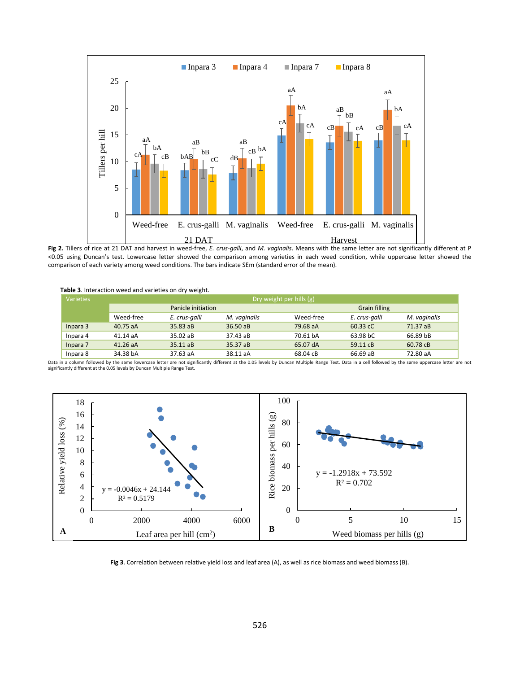

**Fig 2.** Tillers of rice at 21 DAT and harvest in weed-free, *E. crus-galli*, and *M. vaginalis*. Means with the same letter are not significantly different at P <0.05 using Duncan's test. Lowercase letter showed the comparison among varieties in each weed condition, while uppercase letter showed the comparison of each variety among weed conditions. The bars indicate SEm (standard error of the mean).

 **Table 3**. Interaction weed and varieties on dry weight.

| Varieties | Dry weight per hills (g) |               |              |           |                      |              |  |
|-----------|--------------------------|---------------|--------------|-----------|----------------------|--------------|--|
|           | Panicle initiation       |               |              |           | <b>Grain filling</b> |              |  |
|           | Weed-free                | E. crus-galli | M. vaginalis | Weed-free | E. crus-galli        | M. vaginalis |  |
| Inpara 3  | 40.75 aA                 | 35.83 aB      | $36.50a$ B   | 79.68 aA  | 60.33 cC             | 71.37 aB     |  |
| Inpara 4  | 41.14 aA                 | $35.02$ aB    | 37.43 aB     | 70.61 bA  | 63.98 bC             | 66.89 bB     |  |
| Inpara 7  | $41.26$ aA               | $35.11$ aB    | 35.37 aB     | 65.07 dA  | 59.11 cB             | 60.78 cB     |  |
| Inpara 8  | 34.38 bA                 | 37.63 aA      | 38.11 aA     | 68.04 cB  | 66.69 aB             | 72.80 aA     |  |

Data in a column followed by the same lowercase letter are not significantly different at the 0.05 levels by Duncan Multiple Range Test. Data in a cell followed by the same uppercase letter are not significantly different at the 0.05 levels by Duncan Multiple Range Test.



**Fig 3**. Correlation between relative yield loss and leaf area (A), as well as rice biomass and weed biomass (B).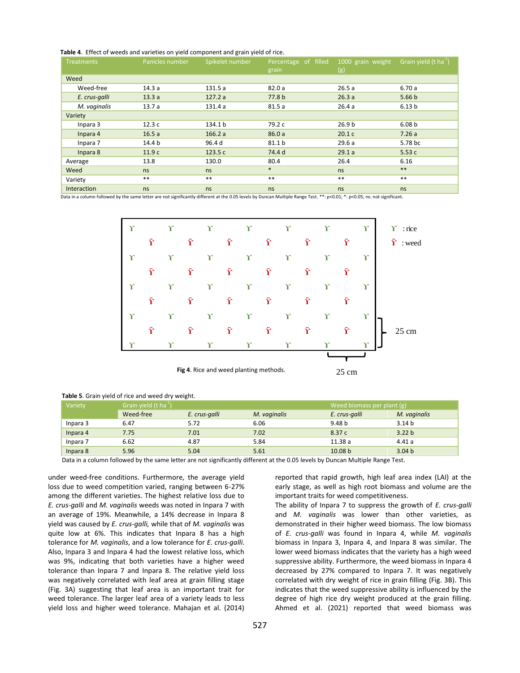**Table 4**. Effect of weeds and varieties on yield component and grain yield of rice.

| <b>Treatments</b> | Panicles number | Spikelet number | Percentage of filled<br>grain | 1000 grain weight<br>(g) | Grain yield (t ha <sup>-1</sup> ) |
|-------------------|-----------------|-----------------|-------------------------------|--------------------------|-----------------------------------|
| Weed              |                 |                 |                               |                          |                                   |
| Weed-free         | 14.3a           | 131.5a          | 82.0a                         | 26.5a                    | 6.70a                             |
| E. crus-galli     | 13.3a           | 127.2a          | 77.8 b                        | 26.3a                    | 5.66 <sub>b</sub>                 |
| M. vaginalis      | 13.7a           | 131.4 a         | 81.5a                         | 26.4a                    | 6.13 <sub>b</sub>                 |
| Variety           |                 |                 |                               |                          |                                   |
| Inpara 3          | 12.3c           | 134.1 b         | 79.2 c                        | 26.9 <sub>b</sub>        | 6.08 <sub>b</sub>                 |
| Inpara 4          | 16.5a           | 166.2a          | 86.0a                         | 20.1c                    | 7.26a                             |
| Inpara 7          | 14.4 b          | 96.4 d          | 81.1 b                        | 29.6a                    | 5.78 bc                           |
| Inpara 8          | 11.9c           | 123.5 c         | 74.4 d                        | 29.1a                    | 5.53c                             |
| Average           | 13.8            | 130.0           | 80.4                          | 26.4                     | 6.16                              |
| Weed              | ns              | ns              | $*$                           | ns                       | $***$                             |
| Variety           | $**$            | $***$           | $***$                         | $**$                     | $***$                             |
| Interaction       | ns              | ns              | ns                            | ns                       | ns                                |

Data in a column followed by the same letter are not significantly different at the 0.05 levels by Duncan Multiple Range Test. \*\*: p<0.01; \*: p<0.05; ns: not significant.



 **Fig 4**. Rice and weed planting methods.

|          | Table 5. Grain yield of rice and weed dry weight. |               |              |                            |                   |
|----------|---------------------------------------------------|---------------|--------------|----------------------------|-------------------|
| Variety  | Grain yield $(t \text{ ha}^{-1})$                 |               |              | Weed biomass per plant (g) |                   |
|          | Weed-free                                         | E. crus-galli | M. vaginalis | E. crus-galli              | M. vaginalis      |
| Inpara 3 | 6.47                                              | 5.72          | 6.06         | 9.48 b                     | 3.14 <sub>b</sub> |
| Inpara 4 | 7.75                                              | 7.01          | 7.02         | 8.37c                      | 3.22 <sub>b</sub> |
| Inpara 7 | 6.62                                              | 4.87          | 5.84         | 11.38 a                    | 4.41a             |

Inpara 8 5.96 5.04 5.61 10.08 b 3.04 b Data in a column followed by the same letter are not significantly different at the 0.05 levels by Duncan Multiple Range Test.

under weed-free conditions. Furthermore, the average yield loss due to weed competition varied, ranging between 6-27% among the different varieties. The highest relative loss due to *E. crus-galli* and *M. vaginalis* weeds was noted in Inpara 7 with an average of 19%. Meanwhile, a 14% decrease in Inpara 8 yield was caused by *E. crus-galli,* while that of *M. vaginalis* was quite low at 6%. This indicates that Inpara 8 has a high tolerance for *M. vaginalis*, and a low tolerance for *E. crus-galli*. Also, Inpara 3 and Inpara 4 had the lowest relative loss, which was 9%, indicating that both varieties have a higher weed tolerance than Inpara 7 and Inpara 8. The relative yield loss was negatively correlated with leaf area at grain filling stage (Fig. 3A) suggesting that leaf area is an important trait for weed tolerance. The larger leaf area of a variety leads to less yield loss and higher weed tolerance. Mahajan et al. (2014)

reported that rapid growth, high leaf area index (LAI) at the early stage, as well as high root biomass and volume are the important traits for weed competitiveness.

25 cm

The ability of Inpara 7 to suppress the growth of *E. crus-galli* and *M. vaginalis* was lower than other varieties, as demonstrated in their higher weed biomass. The low biomass of *E. crus-galli* was found in Inpara 4, while *M. vaginalis* biomass in Inpara 3, Inpara 4, and Inpara 8 was similar. The lower weed biomass indicates that the variety has a high weed suppressive ability. Furthermore, the weed biomass in Inpara 4 decreased by 27% compared to Inpara 7. It was negatively correlated with dry weight of rice in grain filling (Fig. 3B). This indicates that the weed suppressive ability is influenced by the degree of high rice dry weight produced at the grain filling. Ahmed et al. (2021) reported that weed biomass was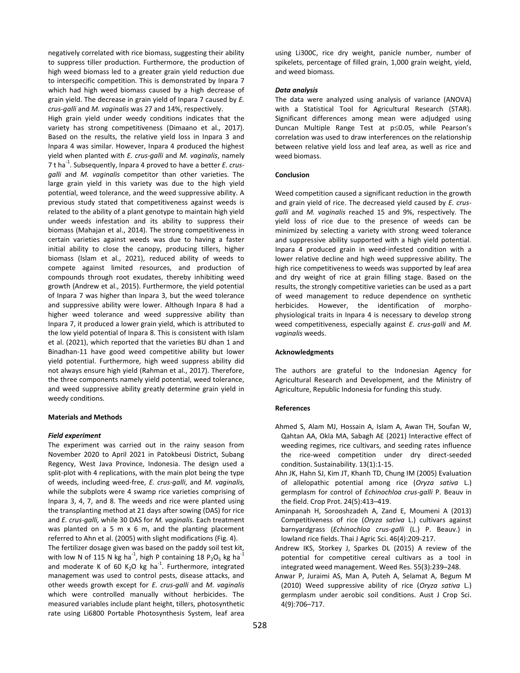negatively correlated with rice biomass, suggesting their ability to suppress tiller production. Furthermore, the production of high weed biomass led to a greater grain yield reduction due to interspecific competition. This is demonstrated by Inpara 7 which had high weed biomass caused by a high decrease of grain yield. The decrease in grain yield of Inpara 7 caused by *E. crus-galli* and *M. vaginalis* was 27 and 14%, respectively.

High grain yield under weedy conditions indicates that the variety has strong competitiveness (Dimaano et al., 2017). Based on the results, the relative yield loss in Inpara 3 and Inpara 4 was similar. However, Inpara 4 produced the highest yield when planted with *E. crus-galli* and *M. vaginalis*, namely 7 t ha<sup>-1</sup>. Subsequently, Inpara 4 proved to have a better *E. crusgalli* and *M. vaginalis* competitor than other varieties. The large grain yield in this variety was due to the high yield potential, weed tolerance, and the weed suppressive ability. A previous study stated that competitiveness against weeds is related to the ability of a plant genotype to maintain high yield under weeds infestation and its ability to suppress their biomass (Mahajan et al., 2014). The strong competitiveness in certain varieties against weeds was due to having a faster initial ability to close the canopy, producing tillers, higher biomass (Islam et al., 2021), reduced ability of weeds to compete against limited resources, and production of compounds through root exudates, thereby inhibiting weed growth (Andrew et al., 2015). Furthermore, the yield potential of Inpara 7 was higher than Inpara 3, but the weed tolerance and suppressive ability were lower. Although Inpara 8 had a higher weed tolerance and weed suppressive ability than Inpara 7, it produced a lower grain yield, which is attributed to the low yield potential of Inpara 8. This is consistent with Islam et al. (2021), which reported that the varieties BU dhan 1 and Binadhan-11 have good weed competitive ability but lower yield potential. Furthermore, high weed suppress ability did not always ensure high yield (Rahman et al., 2017). Therefore, the three components namely yield potential, weed tolerance, and weed suppressive ability greatly determine grain yield in weedy conditions.

#### **Materials and Methods**

#### *Field experiment*

The experiment was carried out in the rainy season from November 2020 to April 2021 in Patokbeusi District, Subang Regency, West Java Province, Indonesia. The design used a split-plot with 4 replications, with the main plot being the type of weeds, including weed-free, *E. crus-galli*, and *M. vaginalis,* while the subplots were 4 swamp rice varieties comprising of Inpara 3, 4, 7, and 8. The weeds and rice were planted using the transplanting method at 21 days after sowing (DAS) for rice and *E. crus-galli,* while 30 DAS for *M. vaginalis.* Each treatment was planted on a 5 m x 6 m, and the planting placement referred to Ahn et al. (2005) with slight modifications (Fig. 4). The fertilizer dosage given was based on the paddy soil test kit, with low N of 115 N kg ha<sup>-1</sup>, high P containing 18 P<sub>2</sub>O<sub>5</sub> kg ha<sup>-1</sup> and moderate K of 60 K<sub>2</sub>O kg ha<sup>-1</sup>. Furthermore, integrated management was used to control pests, disease attacks, and other weeds growth except for *E. crus-galli* and *M. vaginalis* which were controlled manually without herbicides. The measured variables include plant height, tillers, photosynthetic rate using Li6800 Portable Photosynthesis System, leaf area

using Li300C, rice dry weight, panicle number, number of spikelets, percentage of filled grain, 1,000 grain weight, yield, and weed biomass.

#### *Data analysis*

The data were analyzed using analysis of variance (ANOVA) with a Statistical Tool for Agricultural Research (STAR). Significant differences among mean were adjudged using Duncan Multiple Range Test at  $p \le 0.05$ , while Pearson's correlation was used to draw interferences on the relationship between relative yield loss and leaf area, as well as rice and weed biomass.

#### **Conclusion**

Weed competition caused a significant reduction in the growth and grain yield of rice. The decreased yield caused by *E. crusgalli* and *M. vaginalis* reached 15 and 9%, respectively. The yield loss of rice due to the presence of weeds can be minimized by selecting a variety with strong weed tolerance and suppressive ability supported with a high yield potential. Inpara 4 produced grain in weed-infested condition with a lower relative decline and high weed suppressive ability. The high rice competitiveness to weeds was supported by leaf area and dry weight of rice at grain filling stage. Based on the results, the strongly competitive varieties can be used as a part of weed management to reduce dependence on synthetic herbicides. However, the identification of morphophysiological traits in Inpara 4 is necessary to develop strong weed competitiveness, especially against *E. crus-galli* and *M. vaginalis* weeds.

#### **Acknowledgments**

The authors are grateful to the Indonesian Agency for Agricultural Research and Development, and the Ministry of Agriculture, Republic Indonesia for funding this study.

#### **References**

- Ahmed S, Alam MJ, Hossain A, Islam A, Awan TH, Soufan W, Qahtan AA, Okla MA, Sabagh AE (2021) Interactive effect of weeding regimes, rice cultivars, and seeding rates influence the rice-weed competition under dry direct-seeded condition. Sustainability. 13(1):1-15.
- Ahn JK, Hahn SJ, Kim JT, Khanh TD, Chung IM (2005) Evaluation of allelopathic potential among rice (*Oryza sativa* L.) germplasm for control of *Echinochloa crus-galli* P. Beauv in the field. Crop Prot. 24(5):413–419.
- Aminpanah H, Sorooshzadeh A, Zand E, Moumeni A (2013) Competitiveness of rice (*Oryza sativa* L.) cultivars against barnyardgrass (*Echinochloa crus-galli* (L.) P. Beauv.) in lowland rice fields. Thai J Agric Sci. 46(4):209-217.
- Andrew IKS, Storkey J, Sparkes DL (2015) A review of the potential for competitive cereal cultivars as a tool in integrated weed management. Weed Res. 55(3):239–248.
- Anwar P, Juraimi AS, Man A, Puteh A, Selamat A, Begum M (2010) Weed suppressive ability of rice (*Oryza sativa* L.) germplasm under aerobic soil conditions. Aust J Crop Sci. 4(9):706–717.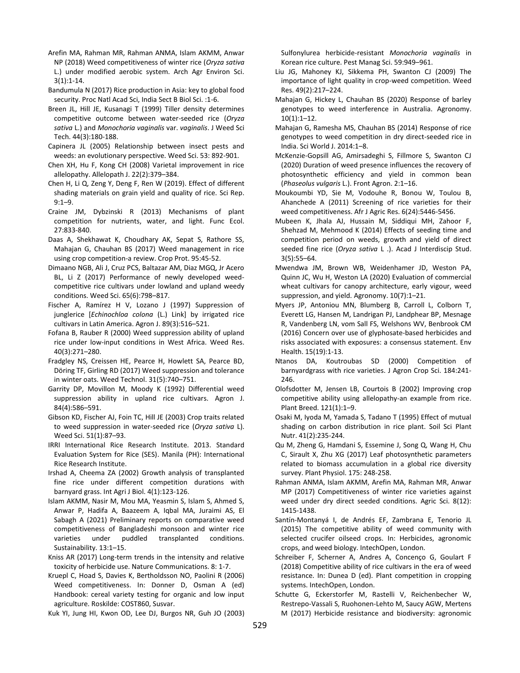- Arefin MA, Rahman MR, Rahman ANMA, Islam AKMM, Anwar NP (2018) Weed competitiveness of winter rice (*Oryza sativa* L.) under modified aerobic system. Arch Agr Environ Sci. 3(1):1-14.
- Bandumula N (2017) Rice production in Asia: key to global food security. Proc Natl Acad Sci, India Sect B Biol Sci. :1-6.
- Breen JL, Hill JE, Kusanagi T (1999) Tiller density determines competitive outcome between water-seeded rice (*Oryza sativa* L.) and *Monochoria vaginalis* var. *vaginalis*. J Weed Sci Tech. 44(3):180-188.
- Capinera JL (2005) Relationship between insect pests and weeds: an evolutionary perspective. Weed Sci. 53: 892-901.
- Chen XH, Hu F, Kong CH (2008) Varietal improvement in rice allelopathy. Allelopath J. 22(2):379–384.
- Chen H, Li Q, Zeng Y, Deng F, Ren W (2019). Effect of different shading materials on grain yield and quality of rice. Sci Rep. 9:1–9.
- Craine JM, Dybzinski R (2013) Mechanisms of plant competition for nutrients, water, and light. Func Ecol. 27:833-840.
- Daas A, Shekhawat K, Choudhary AK, Sepat S, Rathore SS, Mahajan G, Chauhan BS (2017) Weed management in rice using crop competition-a review. Crop Prot. 95:45-52.
- Dimaano NGB, Ali J, Cruz PCS, Baltazar AM, Diaz MGQ, Jr Acero BL, Li Z (2017) Performance of newly developed weedcompetitive rice cultivars under lowland and upland weedy conditions. Weed Sci. 65(6):798–817.
- Fischer A, Ramírez H V, Lozano J (1997) Suppression of junglerice [*Echinochloa colona* (L.) Link] by irrigated rice cultivars in Latin America. Agron J. 89(3):516–521.
- Fofana B, Rauber R (2000) Weed suppression ability of upland rice under low-input conditions in West Africa. Weed Res. 40(3):271–280.
- Fradgley NS, Creissen HE, Pearce H, Howlett SA, Pearce BD, Döring TF, Girling RD (2017) Weed suppression and tolerance in winter oats. Weed Technol. 31(5):740–751.
- Garrity DP, Movillon M, Moody K (1992) Differential weed suppression ability in upland rice cultivars. Agron J. 84(4):586–591.
- Gibson KD, Fischer AJ, Foin TC, Hill JE (2003) Crop traits related to weed suppression in water-seeded rice (*Oryza sativa* L). Weed Sci. 51(1):87–93.
- IRRI International Rice Research Institute. 2013. Standard Evaluation System for Rice (SES). Manila (PH): International Rice Research Institute.
- Irshad A, Cheema ZA (2002) Growth analysis of transplanted fine rice under different competition durations with barnyard grass. Int Agri J Biol. 4(1):123-126.
- Islam AKMM, Nasir M, Mou MA, Yeasmin S, Islam S, Ahmed S, Anwar P, Hadifa A, Baazeem A, Iqbal MA, Juraimi AS, El Sabagh A (2021) Preliminary reports on comparative weed competitiveness of Bangladeshi monsoon and winter rice varieties under puddled transplanted conditions. Sustainability. 13:1–15.
- Kniss AR (2017) Long-term trends in the intensity and relative toxicity of herbicide use. Nature Communications. 8: 1-7.
- Kruepl C, Hoad S, Davies K, Bertholdsson NO, Paolini R (2006) Weed competitiveness. In: Donner D, Osman A (ed) Handbook: cereal variety testing for organic and low input agriculture. Roskilde: COST860, Susvar.
- Kuk YI, Jung HI, Kwon OD, Lee DJ, Burgos NR, Guh JO (2003)

Sulfonylurea herbicide-resistant *Monochoria vaginalis* in Korean rice culture. Pest Manag Sci. 59:949–961.

- Liu JG, Mahoney KJ, Sikkema PH, Swanton CJ (2009) The importance of light quality in crop-weed competition. Weed Res. 49(2):217–224.
- Mahajan G, Hickey L, Chauhan BS (2020) Response of barley genotypes to weed interference in Australia. Agronomy.  $10(1):1-12.$
- Mahajan G, Ramesha MS, Chauhan BS (2014) Response of rice genotypes to weed competition in dry direct-seeded rice in India. Sci World J. 2014:1–8.
- McKenzie-Gopsill AG, Amirsadeghi S, Fillmore S, Swanton CJ (2020) Duration of weed presence influences the recovery of photosynthetic efficiency and yield in common bean (*Phaseolus vulgaris* L.). Front Agron. 2:1–16.
- Moukoumbi YD, Sie M, Vodouhe R, Bonou W, Toulou B, Ahanchede A (2011) Screening of rice varieties for their weed competitiveness. Afr J Agric Res. 6(24):5446-5456.
- Mubeen K, Jhala AJ, Hussain M, Siddiqui MH, Zahoor F, Shehzad M, Mehmood K (2014) Effects of seeding time and competition period on weeds, growth and yield of direct seeded fine rice (*Oryza sativa* L .). Acad J Interdiscip Stud. 3(5):55–64.
- Mwendwa JM, Brown WB, Weidenhamer JD, Weston PA, Quinn JC, Wu H, Weston LA (2020) Evaluation of commercial wheat cultivars for canopy architecture, early vigour, weed suppression, and yield. Agronomy. 10(7):1–21.
- Myers JP, Antoniou MN, Blumberg B, Carroll L, Colborn T, Everett LG, Hansen M, Landrigan PJ, Landphear BP, Mesnage R, Vandenberg LN, vom Sall FS, Welshons WV, Benbrook CM (2016) Concern over use of glyphosate-based herbicides and risks associated with exposures: a consensus statement. Env Health. 15(19):1-13.
- Ntanos DA, Koutroubas SD (2000) Competition of barnyardgrass with rice varieties. J Agron Crop Sci. 184:241- 246.
- Olofsdotter M, Jensen LB, Courtois B (2002) Improving crop competitive ability using allelopathy-an example from rice. Plant Breed. 121(1):1–9.
- Osaki M, Iyoda M, Yamada S, Tadano T (1995) Effect of mutual shading on carbon distribution in rice plant. Soil Sci Plant Nutr. 41(2):235-244.
- Qu M, Zheng G, Hamdani S, Essemine J, Song Q, Wang H, Chu C, Sirault X, Zhu XG (2017) Leaf photosynthetic parameters related to biomass accumulation in a global rice diversity survey. Plant Physiol. 175: 248-258.
- Rahman ANMA, Islam AKMM, Arefin MA, Rahman MR, Anwar MP (2017) Competitiveness of winter rice varieties against weed under dry direct seeded conditions. Agric Sci. 8(12): 1415-1438.
- Santín-Montanyá I, de Andrés EF, Zambrana E, Tenorio JL (2015) The competitive ability of weed community with selected crucifer oilseed crops. In: Herbicides, agronomic crops, and weed biology. IntechOpen, London.
- Schreiber F, Scherner A, Andres A, Concenço G, Goulart F (2018) Competitive ability of rice cultivars in the era of weed resistance. In: Dunea D (ed). Plant competition in cropping systems. IntechOpen, London.
- Schutte G, Eckerstorfer M, Rastelli V, Reichenbecher W, Restrepo-Vassali S, Ruohonen-Lehto M, Saucy AGW, Mertens M (2017) Herbicide resistance and biodiversity: agronomic